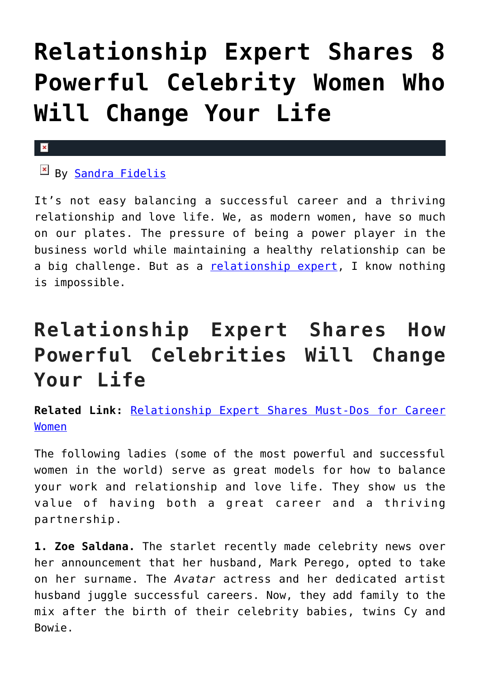## **[Relationship Expert Shares 8](https://cupidspulse.com/93789/relationship-expert-powerful-celebrity-women/) [Powerful Celebrity Women Who](https://cupidspulse.com/93789/relationship-expert-powerful-celebrity-women/) [Will Change Your Life](https://cupidspulse.com/93789/relationship-expert-powerful-celebrity-women/)**

## x

## By [Sandra Fidelis](http://sandrafidelis.com/)

It's not easy balancing a successful career and a thriving relationship and love life. We, as modern women, have so much on our plates. The pressure of being a power player in the business world while maintaining a healthy relationship can be a big challenge. But as a [relationship expert,](http://cupidspulse.com/relationship-experts/) I know nothing is impossible.

## **Relationship Expert Shares How Powerful Celebrities Will Change Your Life**

**Related Link:** [Relationship Expert Shares Must-Dos for Career](http://cupidspulse.com/92311/relationship-expert-career-women/) [Women](http://cupidspulse.com/92311/relationship-expert-career-women/)

The following ladies (some of the most powerful and successful women in the world) serve as great models for how to balance your work and relationship and love life. They show us the value of having both a great career and a thriving partnership.

**1. Zoe Saldana.** The starlet recently made celebrity news over her announcement that her husband, Mark Perego, opted to take on her surname. The *Avatar* actress and her dedicated artist husband juggle successful careers. Now, they add family to the mix after the birth of their celebrity babies, twins Cy and Bowie.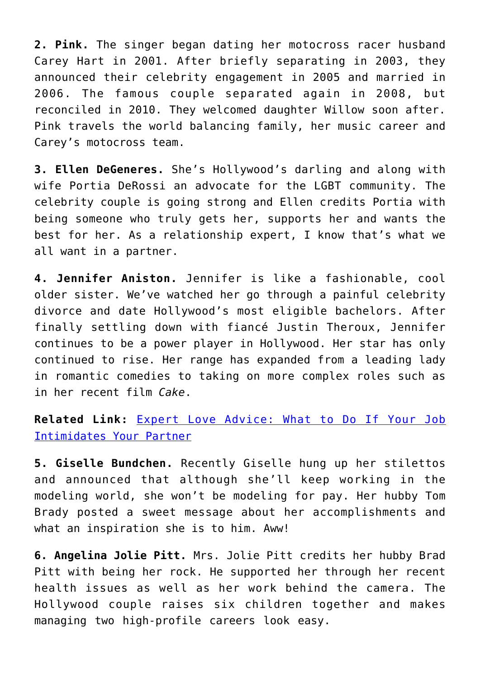**2. Pink.** The singer began dating her motocross racer husband Carey Hart in 2001. After briefly separating in 2003, they announced their celebrity engagement in 2005 and married in 2006. The famous couple separated again in 2008, but reconciled in 2010. They welcomed daughter Willow soon after. Pink travels the world balancing family, her music career and Carey's motocross team.

**3. Ellen DeGeneres.** She's Hollywood's darling and along with wife Portia DeRossi an advocate for the LGBT community. The celebrity couple is going strong and Ellen credits Portia with being someone who truly gets her, supports her and wants the best for her. As a relationship expert, I know that's what we all want in a partner.

**4. Jennifer Aniston.** Jennifer is like a fashionable, cool older sister. We've watched her go through a painful celebrity divorce and date Hollywood's most eligible bachelors. After finally settling down with fiancé Justin Theroux, Jennifer continues to be a power player in Hollywood. Her star has only continued to rise. Her range has expanded from a leading lady in romantic comedies to taking on more complex roles such as in her recent film *Cake*.

**Related Link:** [Expert Love Advice: What to Do If Your Job](http://cupidspulse.com/88522/expert-love-advice-sandra-fidelis-your-job-intimidates-your-partner/) [Intimidates Your Partner](http://cupidspulse.com/88522/expert-love-advice-sandra-fidelis-your-job-intimidates-your-partner/)

**5. Giselle Bundchen.** Recently Giselle hung up her stilettos and announced that although she'll keep working in the modeling world, she won't be modeling for pay. Her hubby Tom Brady posted a sweet message about her accomplishments and what an inspiration she is to him. Aww!

**6. Angelina Jolie Pitt.** Mrs. Jolie Pitt credits her hubby Brad Pitt with being her rock. He supported her through her recent health issues as well as her work behind the camera. The Hollywood couple raises six children together and makes managing two high-profile careers look easy.